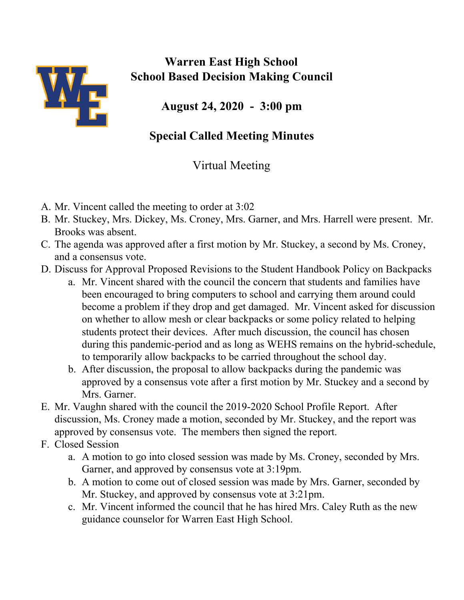

## **Warren East High School School Based Decision Making Council**

**August 24, 2020 - 3:00 pm**

## **Special Called Meeting Minutes**

## Virtual Meeting

- A. Mr. Vincent called the meeting to order at 3:02
- B. Mr. Stuckey, Mrs. Dickey, Ms. Croney, Mrs. Garner, and Mrs. Harrell were present. Mr. Brooks was absent.
- C. The agenda was approved after a first motion by Mr. Stuckey, a second by Ms. Croney, and a consensus vote.
- D. Discuss for Approval Proposed Revisions to the Student Handbook Policy on Backpacks
	- a. Mr. Vincent shared with the council the concern that students and families have been encouraged to bring computers to school and carrying them around could become a problem if they drop and get damaged. Mr. Vincent asked for discussion on whether to allow mesh or clear backpacks or some policy related to helping students protect their devices. After much discussion, the council has chosen during this pandemic-period and as long as WEHS remains on the hybrid-schedule, to temporarily allow backpacks to be carried throughout the school day.
	- b. After discussion, the proposal to allow backpacks during the pandemic was approved by a consensus vote after a first motion by Mr. Stuckey and a second by Mrs. Garner.
- E. Mr. Vaughn shared with the council the 2019-2020 School Profile Report. After discussion, Ms. Croney made a motion, seconded by Mr. Stuckey, and the report was approved by consensus vote. The members then signed the report.
- F. Closed Session
	- a. A motion to go into closed session was made by Ms. Croney, seconded by Mrs. Garner, and approved by consensus vote at 3:19pm.
	- b. A motion to come out of closed session was made by Mrs. Garner, seconded by Mr. Stuckey, and approved by consensus vote at 3:21pm.
	- c. Mr. Vincent informed the council that he has hired Mrs. Caley Ruth as the new guidance counselor for Warren East High School.